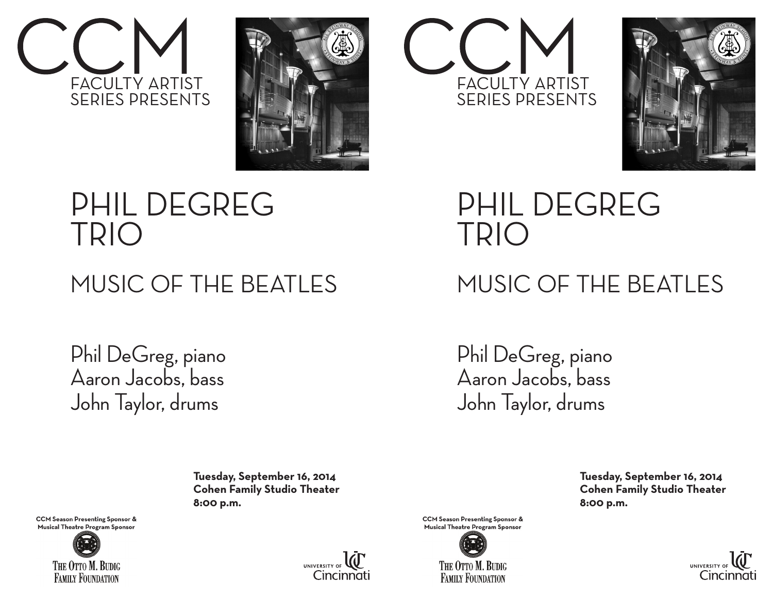







### PHIL DEGREG TRIO

#### MUSIC OF THE BEATLES

Phil DeGreg, piano Aaron Jacobs, bass John Taylor, drums

PHIL DEGREG TRIO

### MUSIC OF THE BEATLES

Phil DeGreg, piano Aaron Jacobs, bass John Taylor, drums

 **Tuesday, September 16, 2014 Cohen Family Studio Theater 8:00 p.m.** 

**CCM Season Presenting Sponsor &** Musical Theatre Program Sponsor





**CCM Season Presenting Sponsor &** Musical Theatre Program Sponsor



 **Tuesday, September 16, 2014 Cohen Family Studio Theater 8:00 p.m.**